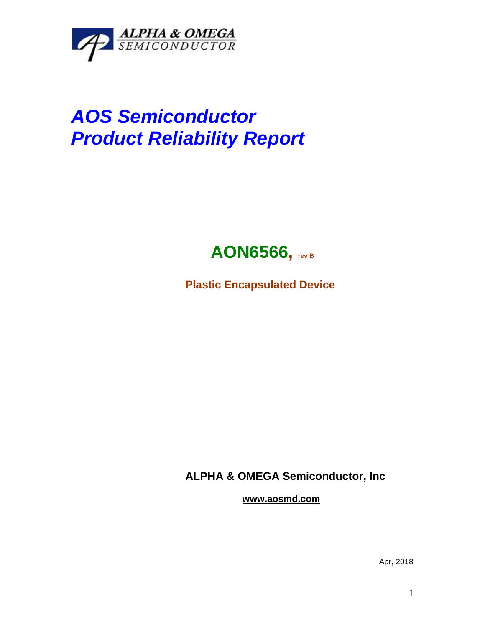

## *AOS Semiconductor Product Reliability Report*



**Plastic Encapsulated Device**

**ALPHA & OMEGA Semiconductor, Inc**

**www.aosmd.com**

Apr, 2018